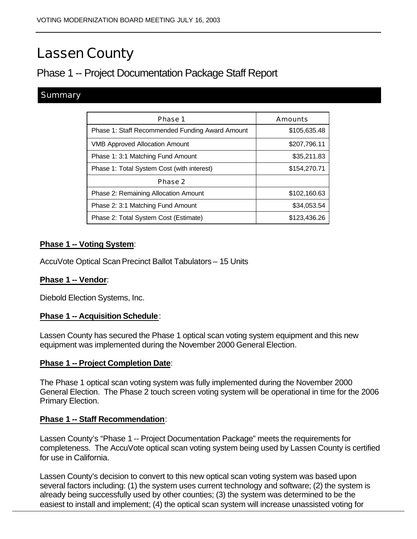# Lassen County

# Phase 1 -- Project Documentation Package Staff Report

## **Summary**

| Phase 1                                         | Amounts      |
|-------------------------------------------------|--------------|
| Phase 1: Staff Recommended Funding Award Amount | \$105,635.48 |
| <b>VMB Approved Allocation Amount</b>           | \$207,796.11 |
| Phase 1: 3:1 Matching Fund Amount               | \$35,211.83  |
| Phase 1: Total System Cost (with interest)      | \$154,270.71 |
| Phase 2                                         |              |
| Phase 2: Remaining Allocation Amount            | \$102,160.63 |
| Phase 2: 3:1 Matching Fund Amount               | \$34,053.54  |
| Phase 2: Total System Cost (Estimate)           | \$123,436.26 |

## **Phase 1 -- Voting System**:

AccuVote Optical Scan Precinct Ballot Tabulators – 15 Units

#### **Phase 1 -- Vendor**:

Diebold Election Systems, Inc.

#### **Phase 1 -- Acquisition Schedule**:

Lassen County has secured the Phase 1 optical scan voting system equipment and this new equipment was implemented during the November 2000 General Election.

#### **Phase 1 -- Project Completion Date**:

The Phase 1 optical scan voting system was fully implemented during the November 2000 General Election. The Phase 2 touch screen voting system will be operational in time for the 2006 Primary Election.

#### **Phase 1 -- Staff Recommendation**:

Lassen County's "Phase 1 -- Project Documentation Package" meets the requirements for completeness. The AccuVote optical scan voting system being used by Lassen County is certified for use in California.

Lassen County's decision to convert to this new optical scan voting system was based upon several factors including: (1) the system uses current technology and software; (2) the system is already being successfully used by other counties; (3) the system was determined to be the easiest to install and implement; (4) the optical scan system will increase unassisted voting for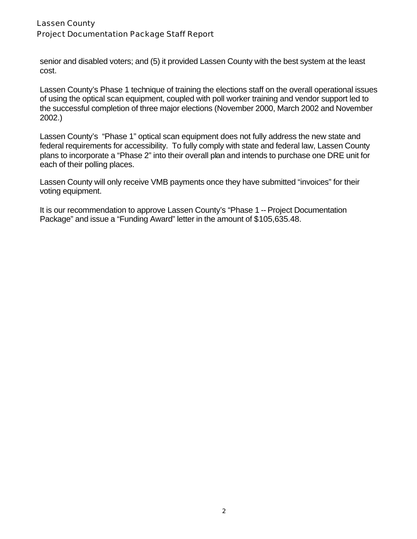## Lassen County Project Documentation Package Staff Report

senior and disabled voters; and (5) it provided Lassen County with the best system at the least cost.

Lassen County's Phase 1 technique of training the elections staff on the overall operational issues of using the optical scan equipment, coupled with poll worker training and vendor support led to the successful completion of three major elections (November 2000, March 2002 and November 2002.)

Lassen County's "Phase 1" optical scan equipment does not fully address the new state and federal requirements for accessibility. To fully comply with state and federal law, Lassen County plans to incorporate a "Phase 2" into their overall plan and intends to purchase one DRE unit for each of their polling places.

Lassen County will only receive VMB payments once they have submitted "invoices" for their voting equipment.

It is our recommendation to approve Lassen County's "Phase 1 -- Project Documentation Package" and issue a "Funding Award" letter in the amount of \$105,635.48.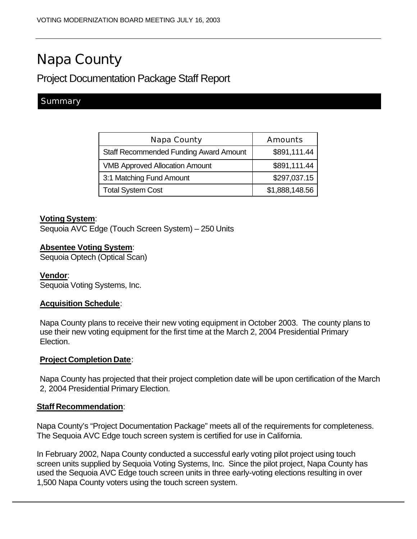# Napa County

# Project Documentation Package Staff Report

## **Summary**

| Napa County                                   | Amounts        |
|-----------------------------------------------|----------------|
| <b>Staff Recommended Funding Award Amount</b> | \$891,111.44   |
| <b>VMB Approved Allocation Amount</b>         | \$891,111.44   |
| 3:1 Matching Fund Amount                      | \$297,037.15   |
| <b>Total System Cost</b>                      | \$1,888,148.56 |

#### **Voting System**:

Sequoia AVC Edge (Touch Screen System) – 250 Units

#### **Absentee Voting System**:

Sequoia Optech (Optical Scan)

#### **Vendor**:

Sequoia Voting Systems, Inc.

#### **Acquisition Schedule**:

Napa County plans to receive their new voting equipment in October 2003. The county plans to use their new voting equipment for the first time at the March 2, 2004 Presidential Primary Election.

#### **Project Completion Date**:

Napa County has projected that their project completion date will be upon certification of the March 2, 2004 Presidential Primary Election.

#### **Staff Recommendation**:

Napa County's "Project Documentation Package" meets all of the requirements for completeness. The Sequoia AVC Edge touch screen system is certified for use in California.

In February 2002, Napa County conducted a successful early voting pilot project using touch screen units supplied by Sequoia Voting Systems, Inc. Since the pilot project, Napa County has used the Sequoia AVC Edge touch screen units in three early-voting elections resulting in over 1,500 Napa County voters using the touch screen system.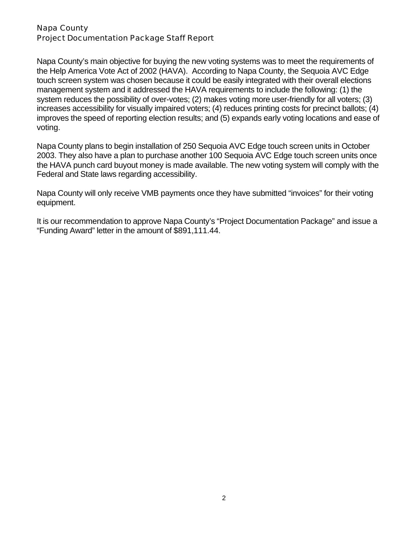#### Napa County Project Documentation Package Staff Report

Napa County's main objective for buying the new voting systems was to meet the requirements of the Help America Vote Act of 2002 (HAVA). According to Napa County, the Sequoia AVC Edge touch screen system was chosen because it could be easily integrated with their overall elections management system and it addressed the HAVA requirements to include the following: (1) the system reduces the possibility of over-votes; (2) makes voting more user-friendly for all voters; (3) increases accessibility for visually impaired voters; (4) reduces printing costs for precinct ballots; (4) improves the speed of reporting election results; and (5) expands early voting locations and ease of voting.

Napa County plans to begin installation of 250 Sequoia AVC Edge touch screen units in October 2003. They also have a plan to purchase another 100 Sequoia AVC Edge touch screen units once the HAVA punch card buyout money is made available. The new voting system will comply with the Federal and State laws regarding accessibility.

Napa County will only receive VMB payments once they have submitted "invoices" for their voting equipment.

It is our recommendation to approve Napa County's "Project Documentation Package" and issue a "Funding Award" letter in the amount of \$891,111.44.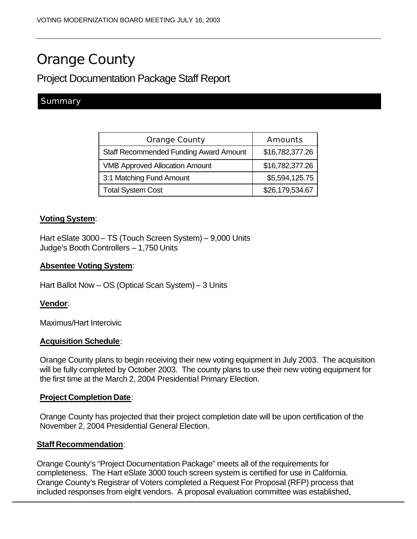# Orange County

## Project Documentation Package Staff Report

## **Summary**

| <b>Orange County</b>                          | Amounts         |
|-----------------------------------------------|-----------------|
| <b>Staff Recommended Funding Award Amount</b> | \$16,782,377.26 |
| <b>VMB Approved Allocation Amount</b>         | \$16,782,377.26 |
| 3:1 Matching Fund Amount                      | \$5,594,125.75  |
| <b>Total System Cost</b>                      | \$26,179,534.67 |

#### **Voting System**:

Hart eSlate 3000 – TS (Touch Screen System) – 9,000 Units Judge's Booth Controllers – 1,750 Units

#### **Absentee Voting System**:

Hart Ballot Now – OS (Optical Scan System) – 3 Units

#### **Vendor**:

Maximus/Hart Intercivic

#### **Acquisition Schedule**:

Orange County plans to begin receiving their new voting equipment in July 2003. The acquisition will be fully completed by October 2003. The county plans to use their new voting equipment for the first time at the March 2, 2004 Presidential Primary Election.

#### **Project Completion Date**:

Orange County has projected that their project completion date will be upon certification of the November 2, 2004 Presidential General Election.

#### **Staff Recommendation**:

Orange County's "Project Documentation Package" meets all of the requirements for completeness. The Hart eSlate 3000 touch screen system is certified for use in California. Orange County's Registrar of Voters completed a Request For Proposal (RFP) process that included responses from eight vendors. A proposal evaluation committee was established,